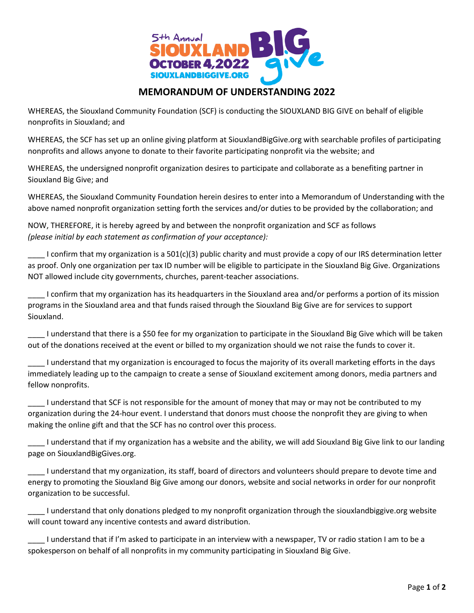

## **MEMORANDUM OF UNDERSTANDING 2022**

WHEREAS, the Siouxland Community Foundation (SCF) is conducting the SIOUXLAND BIG GIVE on behalf of eligible nonprofits in Siouxland; and

WHEREAS, the SCF has set up an online giving platform at SiouxlandBigGive.org with searchable profiles of participating nonprofits and allows anyone to donate to their favorite participating nonprofit via the website; and

WHEREAS, the undersigned nonprofit organization desires to participate and collaborate as a benefiting partner in Siouxland Big Give; and

WHEREAS, the Siouxland Community Foundation herein desires to enter into a Memorandum of Understanding with the above named nonprofit organization setting forth the services and/or duties to be provided by the collaboration; and

NOW, THEREFORE, it is hereby agreed by and between the nonprofit organization and SCF as follows *(please initial by each statement as confirmation of your acceptance):*

 $\perp$  I confirm that my organization is a 501(c)(3) public charity and must provide a copy of our IRS determination letter as proof. Only one organization per tax ID number will be eligible to participate in the Siouxland Big Give. Organizations NOT allowed include city governments, churches, parent-teacher associations.

\_\_\_\_ I confirm that my organization has its headquarters in the Siouxland area and/or performs a portion of its mission programs in the Siouxland area and that funds raised through the Siouxland Big Give are for services to support Siouxland.

\_\_\_\_ I understand that there is a \$50 fee for my organization to participate in the Siouxland Big Give which will be taken out of the donations received at the event or billed to my organization should we not raise the funds to cover it.

\_\_\_\_ I understand that my organization is encouraged to focus the majority of its overall marketing efforts in the days immediately leading up to the campaign to create a sense of Siouxland excitement among donors, media partners and fellow nonprofits.

\_\_\_\_ I understand that SCF is not responsible for the amount of money that may or may not be contributed to my organization during the 24-hour event. I understand that donors must choose the nonprofit they are giving to when making the online gift and that the SCF has no control over this process.

\_\_\_\_ I understand that if my organization has a website and the ability, we will add Siouxland Big Give link to our landing page on SiouxlandBigGives.org.

\_\_\_\_ I understand that my organization, its staff, board of directors and volunteers should prepare to devote time and energy to promoting the Siouxland Big Give among our donors, website and social networks in order for our nonprofit organization to be successful.

\_\_\_\_ I understand that only donations pledged to my nonprofit organization through the siouxlandbiggive.org website will count toward any incentive contests and award distribution.

\_\_\_\_ I understand that if I'm asked to participate in an interview with a newspaper, TV or radio station I am to be a spokesperson on behalf of all nonprofits in my community participating in Siouxland Big Give.